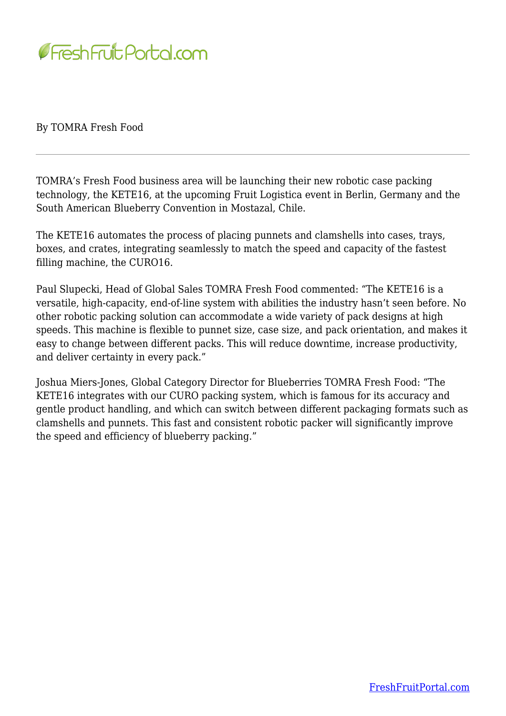

By TOMRA Fresh Food

TOMRA's Fresh Food business area will be launching their new robotic case packing technology, the KETE16, at the upcoming Fruit Logistica event in Berlin, Germany and the South American Blueberry Convention in Mostazal, Chile.

The KETE16 automates the process of placing punnets and clamshells into cases, trays, boxes, and crates, integrating seamlessly to match the speed and capacity of the fastest filling machine, the CURO16.

Paul Slupecki, Head of Global Sales TOMRA Fresh Food commented: "The KETE16 is a versatile, high-capacity, end-of-line system with abilities the industry hasn't seen before. No other robotic packing solution can accommodate a wide variety of pack designs at high speeds. This machine is flexible to punnet size, case size, and pack orientation, and makes it easy to change between different packs. This will reduce downtime, increase productivity, and deliver certainty in every pack."

Joshua Miers-Jones, Global Category Director for Blueberries TOMRA Fresh Food: "The KETE16 integrates with our CURO packing system, which is famous for its accuracy and gentle product handling, and which can switch between different packaging formats such as clamshells and punnets. This fast and consistent robotic packer will significantly improve the speed and efficiency of blueberry packing."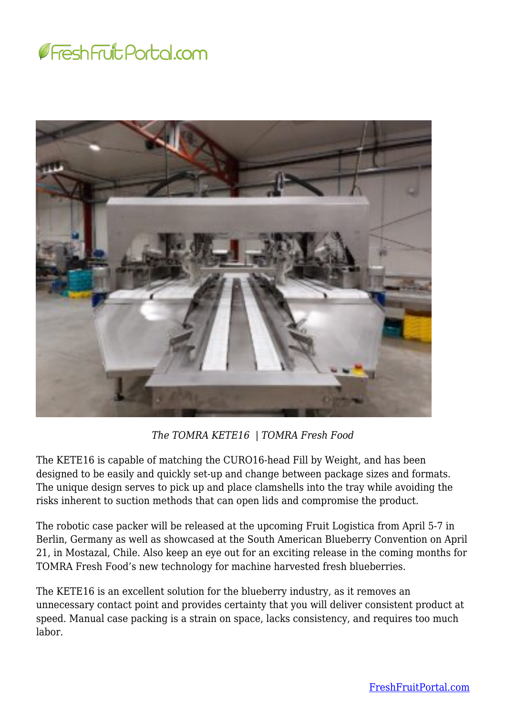



*The TOMRA KETE16 | TOMRA Fresh Food*

The KETE16 is capable of matching the CURO16-head Fill by Weight, and has been designed to be easily and quickly set-up and change between package sizes and formats. The unique design serves to pick up and place clamshells into the tray while avoiding the risks inherent to suction methods that can open lids and compromise the product.

The robotic case packer will be released at the upcoming Fruit Logistica from April 5-7 in Berlin, Germany as well as showcased at the South American Blueberry Convention on April 21, in Mostazal, Chile. Also keep an eye out for an exciting release in the coming months for TOMRA Fresh Food's new technology for machine harvested fresh blueberries.

The KETE16 is an excellent solution for the blueberry industry, as it removes an unnecessary contact point and provides certainty that you will deliver consistent product at speed. Manual case packing is a strain on space, lacks consistency, and requires too much labor.